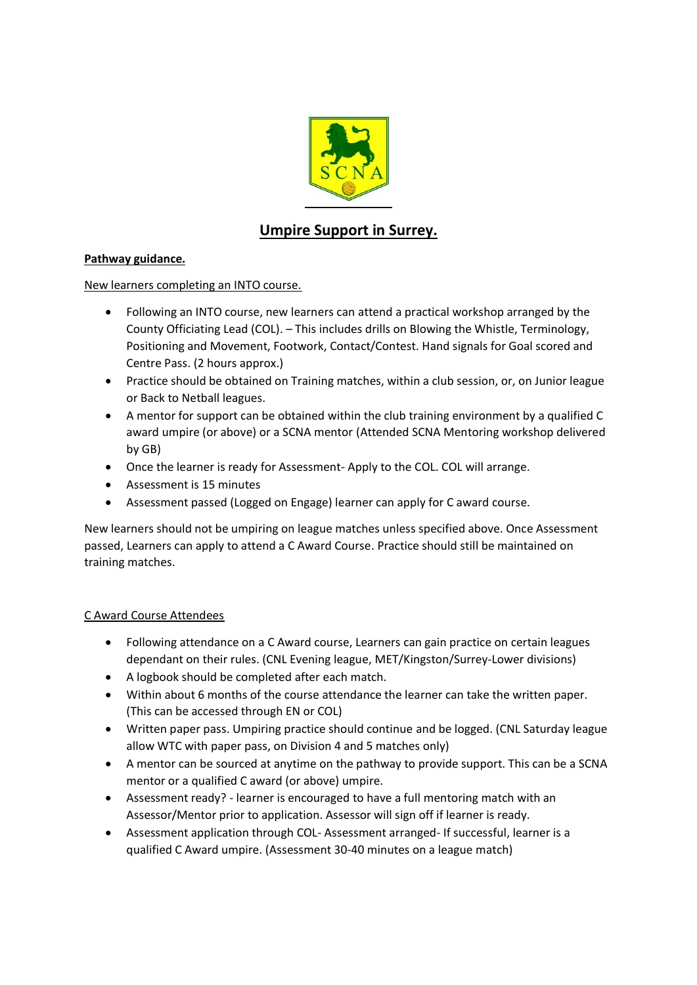

# **Umpire Support in Surrey.**

## **Pathway guidance.**

## New learners completing an INTO course.

- Following an INTO course, new learners can attend a practical workshop arranged by the County Officiating Lead (COL). – This includes drills on Blowing the Whistle, Terminology, Positioning and Movement, Footwork, Contact/Contest. Hand signals for Goal scored and Centre Pass. (2 hours approx.)
- Practice should be obtained on Training matches, within a club session, or, on Junior league or Back to Netball leagues.
- A mentor for support can be obtained within the club training environment by a qualified C award umpire (or above) or a SCNA mentor (Attended SCNA Mentoring workshop delivered by GB)
- Once the learner is ready for Assessment- Apply to the COL. COL will arrange.
- Assessment is 15 minutes
- Assessment passed (Logged on Engage) learner can apply for C award course.

New learners should not be umpiring on league matches unless specified above. Once Assessment passed, Learners can apply to attend a C Award Course. Practice should still be maintained on training matches.

## C Award Course Attendees

- Following attendance on a C Award course, Learners can gain practice on certain leagues dependant on their rules. (CNL Evening league, MET/Kingston/Surrey-Lower divisions)
- A logbook should be completed after each match.
- Within about 6 months of the course attendance the learner can take the written paper. (This can be accessed through EN or COL)
- Written paper pass. Umpiring practice should continue and be logged. (CNL Saturday league allow WTC with paper pass, on Division 4 and 5 matches only)
- A mentor can be sourced at anytime on the pathway to provide support. This can be a SCNA mentor or a qualified C award (or above) umpire.
- Assessment ready? learner is encouraged to have a full mentoring match with an Assessor/Mentor prior to application. Assessor will sign off if learner is ready.
- Assessment application through COL- Assessment arranged- If successful, learner is a qualified C Award umpire. (Assessment 30-40 minutes on a league match)